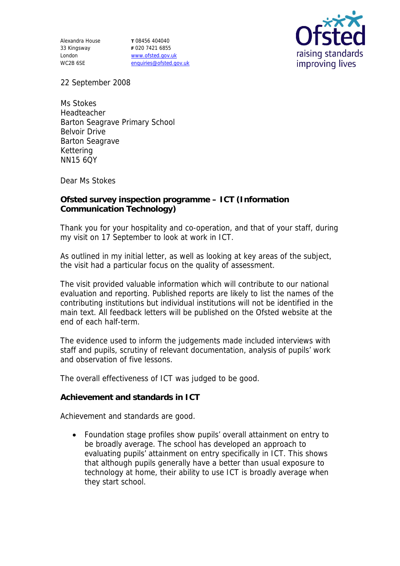Alexandra House 33 Kingsway London WC2B 6SE

**T** 08456 404040 **F** 020 7421 6855 www.ofsted.gov.uk enquiries@ofsted.gov.uk



22 September 2008

Ms Stokes Headteacher Barton Seagrave Primary School Belvoir Drive Barton Seagrave Kettering NN15 6QY

Dear Ms Stokes

**Ofsted survey inspection programme – ICT (Information Communication Technology)**

Thank you for your hospitality and co-operation, and that of your staff, during my visit on 17 September to look at work in ICT.

As outlined in my initial letter, as well as looking at key areas of the subject, the visit had a particular focus on the quality of assessment.

The visit provided valuable information which will contribute to our national evaluation and reporting. Published reports are likely to list the names of the contributing institutions but individual institutions will not be identified in the main text. All feedback letters will be published on the Ofsted website at the end of each half-term.

The evidence used to inform the judgements made included interviews with staff and pupils, scrutiny of relevant documentation, analysis of pupils' work and observation of five lessons.

The overall effectiveness of ICT was judged to be good.

**Achievement and standards in ICT**

Achievement and standards are good.

 Foundation stage profiles show pupils' overall attainment on entry to be broadly average. The school has developed an approach to evaluating pupils' attainment on entry specifically in ICT. This shows that although pupils generally have a better than usual exposure to technology at home, their ability to use ICT is broadly average when they start school.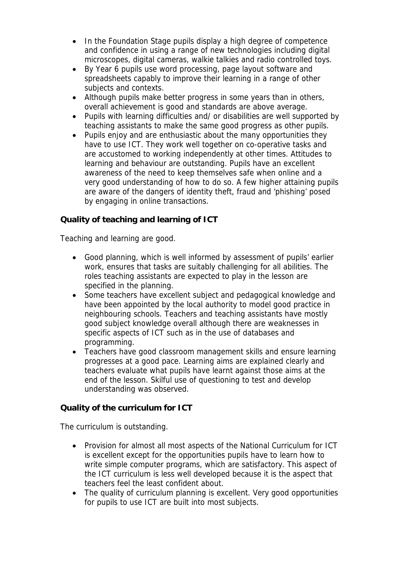- In the Foundation Stage pupils display a high degree of competence and confidence in using a range of new technologies including digital microscopes, digital cameras, walkie talkies and radio controlled toys.
- By Year 6 pupils use word processing, page layout software and spreadsheets capably to improve their learning in a range of other subjects and contexts.
- Although pupils make better progress in some years than in others, overall achievement is good and standards are above average.
- Pupils with learning difficulties and/ or disabilities are well supported by teaching assistants to make the same good progress as other pupils.
- Pupils enjoy and are enthusiastic about the many opportunities they have to use ICT. They work well together on co-operative tasks and are accustomed to working independently at other times. Attitudes to learning and behaviour are outstanding. Pupils have an excellent awareness of the need to keep themselves safe when online and a very good understanding of how to do so. A few higher attaining pupils are aware of the dangers of identity theft, fraud and 'phishing' posed by engaging in online transactions.

**Quality of teaching and learning of ICT**

Teaching and learning are good.

- Good planning, which is well informed by assessment of pupils' earlier work, ensures that tasks are suitably challenging for all abilities. The roles teaching assistants are expected to play in the lesson are specified in the planning.
- Some teachers have excellent subject and pedagogical knowledge and have been appointed by the local authority to model good practice in neighbouring schools. Teachers and teaching assistants have mostly good subject knowledge overall although there are weaknesses in specific aspects of ICT such as in the use of databases and programming.
- Teachers have good classroom management skills and ensure learning progresses at a good pace. Learning aims are explained clearly and teachers evaluate what pupils have learnt against those aims at the end of the lesson. Skilful use of questioning to test and develop understanding was observed.

**Quality of the curriculum for ICT**

The curriculum is outstanding.

- Provision for almost all most aspects of the National Curriculum for ICT is excellent except for the opportunities pupils have to learn how to write simple computer programs, which are satisfactory. This aspect of the ICT curriculum is less well developed because it is the aspect that teachers feel the least confident about.
- The quality of curriculum planning is excellent. Very good opportunities for pupils to use ICT are built into most subjects.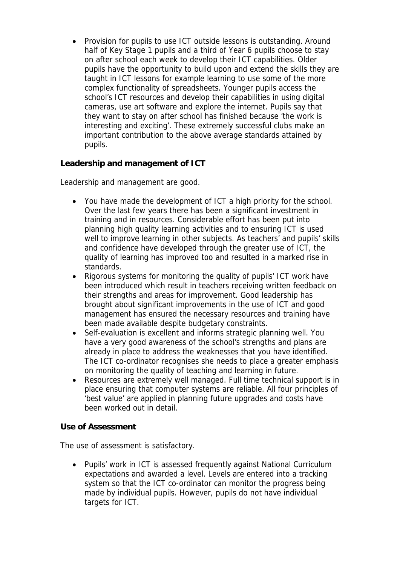• Provision for pupils to use ICT outside lessons is outstanding. Around half of Key Stage 1 pupils and a third of Year 6 pupils choose to stay on after school each week to develop their ICT capabilities. Older pupils have the opportunity to build upon and extend the skills they are taught in ICT lessons for example learning to use some of the more complex functionality of spreadsheets. Younger pupils access the school's ICT resources and develop their capabilities in using digital cameras, use art software and explore the internet. Pupils say that they want to stay on after school has finished because 'the work is interesting and exciting'. These extremely successful clubs make an important contribution to the above average standards attained by pupils.

**Leadership and management of ICT**

Leadership and management are good.

- You have made the development of ICT a high priority for the school. Over the last few years there has been a significant investment in training and in resources. Considerable effort has been put into planning high quality learning activities and to ensuring ICT is used well to improve learning in other subjects. As teachers' and pupils' skills and confidence have developed through the greater use of ICT, the quality of learning has improved too and resulted in a marked rise in standards.
- Rigorous systems for monitoring the quality of pupils' ICT work have been introduced which result in teachers receiving written feedback on their strengths and areas for improvement. Good leadership has brought about significant improvements in the use of ICT and good management has ensured the necessary resources and training have been made available despite budgetary constraints.
- Self-evaluation is excellent and informs strategic planning well. You have a very good awareness of the school's strengths and plans are already in place to address the weaknesses that you have identified. The ICT co-ordinator recognises she needs to place a greater emphasis on monitoring the quality of teaching and learning in future.
- Resources are extremely well managed. Full time technical support is in place ensuring that computer systems are reliable. All four principles of 'best value' are applied in planning future upgrades and costs have been worked out in detail.

**Use of Assessment**

The use of assessment is satisfactory.

 Pupils' work in ICT is assessed frequently against National Curriculum expectations and awarded a level. Levels are entered into a tracking system so that the ICT co-ordinator can monitor the progress being made by individual pupils. However, pupils do not have individual targets for ICT.